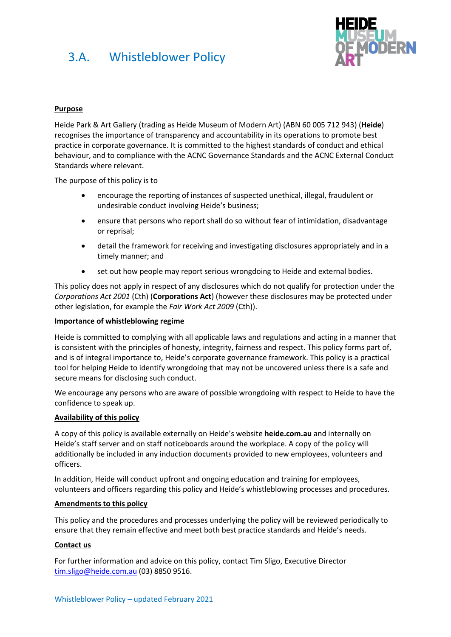

## **Purpose**

Heide Park & Art Gallery (trading as Heide Museum of Modern Art) (ABN 60 005 712 943) (**Heide**) recognises the importance of transparency and accountability in its operations to promote best practice in corporate governance. It is committed to the highest standards of conduct and ethical behaviour, and to compliance with the ACNC Governance Standards and the ACNC External Conduct Standards where relevant.

The purpose of this policy is to

- encourage the reporting of instances of suspected unethical, illegal, fraudulent or undesirable conduct involving Heide's business;
- ensure that persons who report shall do so without fear of intimidation, disadvantage or reprisal;
- detail the framework for receiving and investigating disclosures appropriately and in a timely manner; and
- set out how people may report serious wrongdoing to Heide and external bodies.

This policy does not apply in respect of any disclosures which do not qualify for protection under the *Corporations Act 2001* (Cth) (**Corporations Act**) (however these disclosures may be protected under other legislation, for example the *Fair Work Act 2009* (Cth)).

#### **Importance of whistleblowing regime**

Heide is committed to complying with all applicable laws and regulations and acting in a manner that is consistent with the principles of honesty, integrity, fairness and respect. This policy forms part of, and is of integral importance to, Heide's corporate governance framework. This policy is a practical tool for helping Heide to identify wrongdoing that may not be uncovered unless there is a safe and secure means for disclosing such conduct.

We encourage any persons who are aware of possible wrongdoing with respect to Heide to have the confidence to speak up.

#### **Availability of this policy**

A copy of this policy is available externally on Heide's website **heide.com.au** and internally on Heide's staff server and on staff noticeboards around the workplace. A copy of the policy will additionally be included in any induction documents provided to new employees, volunteers and officers.

In addition, Heide will conduct upfront and ongoing education and training for employees, volunteers and officers regarding this policy and Heide's whistleblowing processes and procedures.

#### **Amendments to this policy**

This policy and the procedures and processes underlying the policy will be reviewed periodically to ensure that they remain effective and meet both best practice standards and Heide's needs.

### **Contact us**

For further information and advice on this policy, contact Tim Sligo, Executive Director [tim.sligo@heide.com.au](mailto:tim.sligo@heide.com.au) (03) 8850 9516.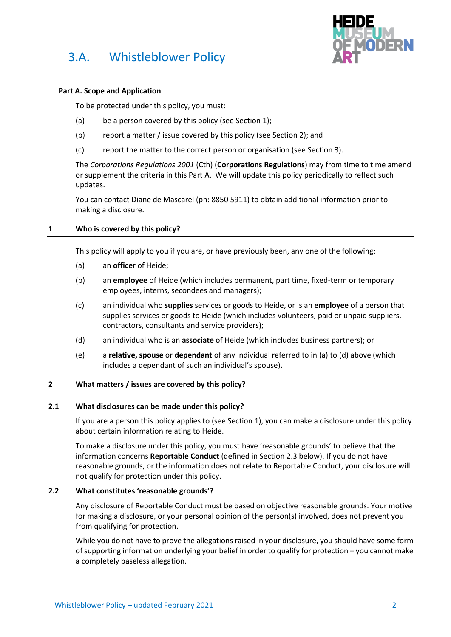

## **Part A. Scope and Application**

To be protected under this policy, you must:

- (a) be a person covered by this policy (see Section [1\)](#page-1-0);
- (b) report a matter / issue covered by this policy (see Section [2\)](#page-1-1); and
- (c) report the matter to the correct person or organisation (see Sectio[n 3\)](#page-4-0).

The *Corporations Regulations 2001* (Cth) (**Corporations Regulations**) may from time to time amend or supplement the criteria in this Part A. We will update this policy periodically to reflect such updates.

You can contact Diane de Mascarel (ph: 8850 5911) to obtain additional information prior to making a disclosure.

## <span id="page-1-0"></span>**1 Who is covered by this policy?**

This policy will apply to you if you are, or have previously been, any one of the following:

- <span id="page-1-2"></span>(a) an **officer** of Heide;
- (b) an **employee** of Heide (which includes permanent, part time, fixed-term or temporary employees, interns, secondees and managers);
- (c) an individual who **supplies** services or goods to Heide, or is an **employee** of a person that supplies services or goods to Heide (which includes volunteers, paid or unpaid suppliers, contractors, consultants and service providers);
- <span id="page-1-3"></span>(d) an individual who is an **associate** of Heide (which includes business partners); or
- (e) a **relative, spouse** or **dependant** of any individual referred to in [\(a\)](#page-1-2) t[o \(d\)](#page-1-3) above (which includes a dependant of such an individual's spouse).

## <span id="page-1-1"></span>**2 What matters / issues are covered by this policy?**

### **2.1 What disclosures can be made under this policy?**

If you are a person this policy applies to (see Section [1\)](#page-1-0), you can make a disclosure under this policy about certain information relating to Heide.

To make a disclosure under this policy, you must have 'reasonable grounds' to believe that the information concerns **Reportable Conduct** (defined in Section 2.3 below). If you do not have reasonable grounds, or the information does not relate to Reportable Conduct, your disclosure will not qualify for protection under this policy.

### **2.2 What constitutes 'reasonable grounds'?**

Any disclosure of Reportable Conduct must be based on objective reasonable grounds. Your motive for making a disclosure, or your personal opinion of the person(s) involved, does not prevent you from qualifying for protection.

While you do not have to prove the allegations raised in your disclosure, you should have some form of supporting information underlying your belief in order to qualify for protection – you cannot make a completely baseless allegation.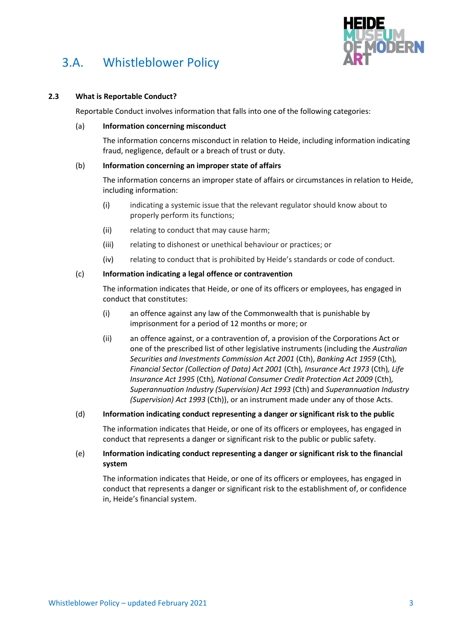

## **2.3 What is Reportable Conduct?**

Reportable Conduct involves information that falls into one of the following categories:

### (a) **Information concerning misconduct**

The information concerns misconduct in relation to Heide, including information indicating fraud, negligence, default or a breach of trust or duty.

## (b) **Information concerning an improper state of affairs**

The information concerns an improper state of affairs or circumstances in relation to Heide, including information:

- (i) indicating a systemic issue that the relevant regulator should know about to properly perform its functions;
- (ii) relating to conduct that may cause harm;
- (iii) relating to dishonest or unethical behaviour or practices; or
- (iv) relating to conduct that is prohibited by Heide's standards or code of conduct.

## (c) **Information indicating a legal offence or contravention**

The information indicates that Heide, or one of its officers or employees, has engaged in conduct that constitutes:

- (i) an offence against any law of the Commonwealth that is punishable by imprisonment for a period of 12 months or more; or
- (ii) an offence against, or a contravention of, a provision of the Corporations Act or one of the prescribed list of other legislative instruments (including the *Australian Securities and Investments Commission Act 2001* (Cth), *Banking Act 1959* (Cth)*, Financial Sector (Collection of Data) Act 2001* (Cth)*, Insurance Act 1973* (Cth)*, Life Insurance Act 1995* (Cth)*, National Consumer Credit Protection Act 2009* (Cth)*, Superannuation Industry (Supervision) Act 1993* (Cth) and *Superannuation Industry (Supervision) Act 1993* (Cth)), or an instrument made under any of those Acts.

### (d) **Information indicating conduct representing a danger or significant risk to the public**

The information indicates that Heide, or one of its officers or employees, has engaged in conduct that represents a danger or significant risk to the public or public safety.

## (e) **Information indicating conduct representing a danger or significant risk to the financial system**

The information indicates that Heide, or one of its officers or employees, has engaged in conduct that represents a danger or significant risk to the establishment of, or confidence in, Heide's financial system.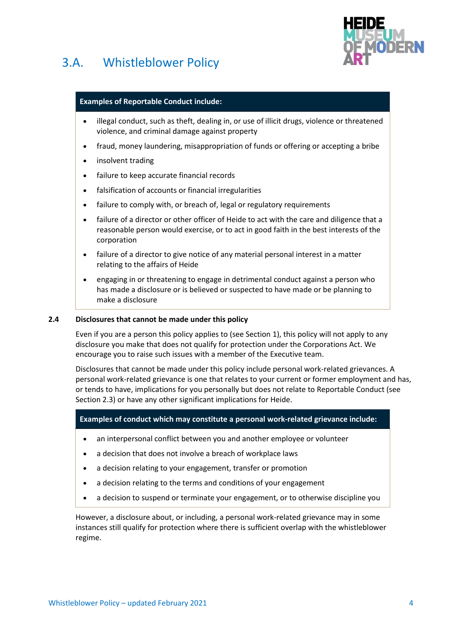



### **Examples of Reportable Conduct include:**

- illegal conduct, such as theft, dealing in, or use of illicit drugs, violence or threatened violence, and criminal damage against property
- fraud, money laundering, misappropriation of funds or offering or accepting a bribe
- insolvent trading
- failure to keep accurate financial records
- falsification of accounts or financial irregularities
- failure to comply with, or breach of, legal or regulatory requirements
- failure of a director or other officer of Heide to act with the care and diligence that a reasonable person would exercise, or to act in good faith in the best interests of the corporation
- failure of a director to give notice of any material personal interest in a matter relating to the affairs of Heide
- engaging in or threatening to engage in detrimental conduct against a person who has made a disclosure or is believed or suspected to have made or be planning to make a disclosure

### **2.4 Disclosures that cannot be made under this policy**

Even if you are a person this policy applies to (see Sectio[n 1\)](#page-1-0), this policy will not apply to any disclosure you make that does not qualify for protection under the Corporations Act. We encourage you to raise such issues with a member of the Executive team.

Disclosures that cannot be made under this policy include personal work-related grievances. A personal work-related grievance is one that relates to your current or former employment and has, or tends to have, implications for you personally but does not relate to Reportable Conduct (see Section 2.3) or have any other significant implications for Heide.

## **Examples of conduct which may constitute a personal work-related grievance include:**

- an interpersonal conflict between you and another employee or volunteer
- a decision that does not involve a breach of workplace laws
- a decision relating to your engagement, transfer or promotion
- a decision relating to the terms and conditions of your engagement
- a decision to suspend or terminate your engagement, or to otherwise discipline you

However, a disclosure about, or including, a personal work-related grievance may in some instances still qualify for protection where there is sufficient overlap with the whistleblower regime.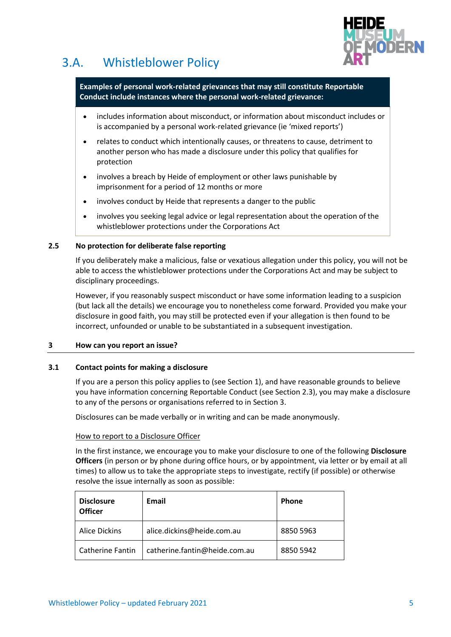

**Examples of personal work-related grievances that may still constitute Reportable Conduct include instances where the personal work-related grievance:**

- includes information about misconduct, or information about misconduct includes or is accompanied by a personal work-related grievance (ie 'mixed reports')
- relates to conduct which intentionally causes, or threatens to cause, detriment to another person who has made a disclosure under this policy that qualifies for protection
- involves a breach by Heide of employment or other laws punishable by imprisonment for a period of 12 months or more
- involves conduct by Heide that represents a danger to the public
- involves you seeking legal advice or legal representation about the operation of the whistleblower protections under the Corporations Act

### **2.5 No protection for deliberate false reporting**

If you deliberately make a malicious, false or vexatious allegation under this policy, you will not be able to access the whistleblower protections under the Corporations Act and may be subject to disciplinary proceedings.

However, if you reasonably suspect misconduct or have some information leading to a suspicion (but lack all the details) we encourage you to nonetheless come forward. Provided you make your disclosure in good faith, you may still be protected even if your allegation is then found to be incorrect, unfounded or unable to be substantiated in a subsequent investigation.

### <span id="page-4-0"></span>**3 How can you report an issue?**

### **3.1 Contact points for making a disclosure**

If you are a person this policy applies to (see Section [1\)](#page-1-0), and have reasonable grounds to believe you have information concerning Reportable Conduct (see Section [2.](#page-1-1)3), you may make a disclosure to any of the persons or organisations referred to in Section [3.](#page-4-0)

Disclosures can be made verbally or in writing and can be made anonymously.

### How to report to a Disclosure Officer

In the first instance, we encourage you to make your disclosure to one of the following **Disclosure Officers** (in person or by phone during office hours, or by appointment, via letter or by email at all times) to allow us to take the appropriate steps to investigate, rectify (if possible) or otherwise resolve the issue internally as soon as possible:

| <b>Disclosure</b><br><b>Officer</b> | Email                         | <b>Phone</b> |
|-------------------------------------|-------------------------------|--------------|
| <b>Alice Dickins</b>                | alice.dickins@heide.com.au    | 8850 5963    |
| <b>Catherine Fantin</b>             | catherine.fantin@heide.com.au | 8850 5942    |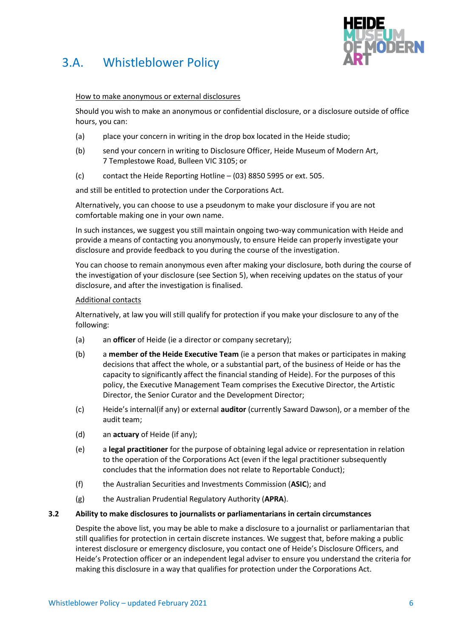

## How to make anonymous or external disclosures

Should you wish to make an anonymous or confidential disclosure, or a disclosure outside of office hours, you can:

- (a) place your concern in writing in the drop box located in the Heide studio;
- (b) send your concern in writing to Disclosure Officer, Heide Museum of Modern Art, 7 Templestowe Road, Bulleen VIC 3105; or
- (c) contact the Heide Reporting Hotline (03) 8850 5995 or ext. 505.

and still be entitled to protection under the Corporations Act.

Alternatively, you can choose to use a pseudonym to make your disclosure if you are not comfortable making one in your own name.

In such instances, we suggest you still maintain ongoing two-way communication with Heide and provide a means of contacting you anonymously, to ensure Heide can properly investigate your disclosure and provide feedback to you during the course of the investigation.

You can choose to remain anonymous even after making your disclosure, both during the course of the investigation of your disclosure (see Section [5\)](#page-9-0), when receiving updates on the status of your disclosure, and after the investigation is finalised.

## Additional contacts

Alternatively, at law you will still qualify for protection if you make your disclosure to any of the following:

- (a) an **officer** of Heide (ie a director or company secretary);
- (b) a **member of the Heide Executive Team** (ie a person that makes or participates in making decisions that affect the whole, or a substantial part, of the business of Heide or has the capacity to significantly affect the financial standing of Heide). For the purposes of this policy, the Executive Management Team comprises the Executive Director, the Artistic Director, the Senior Curator and the Development Director;
- (c) Heide's internal(if any) or external **auditor** (currently Saward Dawson), or a member of the audit team;
- (d) an **actuary** of Heide (if any);
- (e) a **legal practitioner** for the purpose of obtaining legal advice or representation in relation to the operation of the Corporations Act (even if the legal practitioner subsequently concludes that the information does not relate to Reportable Conduct);
- (f) the Australian Securities and Investments Commission (**ASIC**); and
- (g) the Australian Prudential Regulatory Authority (**APRA**).

### **3.2 Ability to make disclosures to journalists or parliamentarians in certain circumstances**

Despite the above list, you may be able to make a disclosure to a journalist or parliamentarian that still qualifies for protection in certain discrete instances. We suggest that, before making a public interest disclosure or emergency disclosure, you contact one of Heide's Disclosure Officers, and Heide's Protection officer or an independent legal adviser to ensure you understand the criteria for making this disclosure in a way that qualifies for protection under the Corporations Act.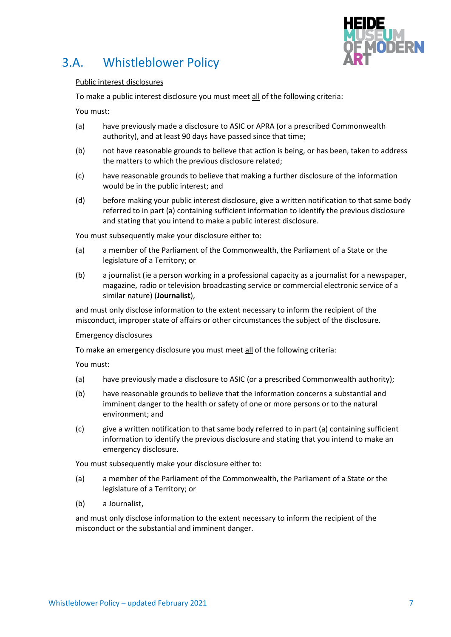

### Public interest disclosures

To make a public interest disclosure you must meet all of the following criteria:

You must:

- (a) have previously made a disclosure to ASIC or APRA (or a prescribed Commonwealth authority), and at least 90 days have passed since that time;
- (b) not have reasonable grounds to believe that action is being, or has been, taken to address the matters to which the previous disclosure related;
- (c) have reasonable grounds to believe that making a further disclosure of the information would be in the public interest; and
- (d) before making your public interest disclosure, give a written notification to that same body referred to in part (a) containing sufficient information to identify the previous disclosure and stating that you intend to make a public interest disclosure.

You must subsequently make your disclosure either to:

- (a) a member of the Parliament of the Commonwealth, the Parliament of a State or the legislature of a Territory; or
- (b) a journalist (ie a person working in a professional capacity as a journalist for a newspaper, magazine, radio or television broadcasting service or commercial electronic service of a similar nature) (**Journalist**),

and must only disclose information to the extent necessary to inform the recipient of the misconduct, improper state of affairs or other circumstances the subject of the disclosure.

### Emergency disclosures

To make an emergency disclosure you must meet all of the following criteria:

You must:

- (a) have previously made a disclosure to ASIC (or a prescribed Commonwealth authority);
- (b) have reasonable grounds to believe that the information concerns a substantial and imminent danger to the health or safety of one or more persons or to the natural environment; and
- (c) give a written notification to that same body referred to in part (a) containing sufficient information to identify the previous disclosure and stating that you intend to make an emergency disclosure.

You must subsequently make your disclosure either to:

- (a) a member of the Parliament of the Commonwealth, the Parliament of a State or the legislature of a Territory; or
- (b) a Journalist,

and must only disclose information to the extent necessary to inform the recipient of the misconduct or the substantial and imminent danger.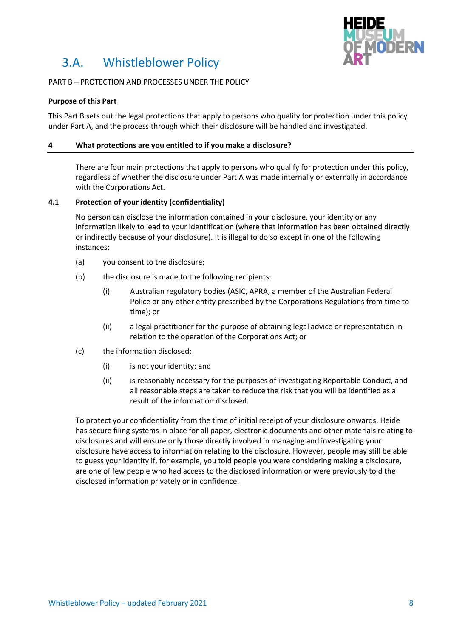

## PART B – PROTECTION AND PROCESSES UNDER THE POLICY

### **Purpose of this Part**

This Part B sets out the legal protections that apply to persons who qualify for protection under this policy under Part A, and the process through which their disclosure will be handled and investigated.

### **4 What protections are you entitled to if you make a disclosure?**

There are four main protections that apply to persons who qualify for protection under this policy, regardless of whether the disclosure under Part A was made internally or externally in accordance with the Corporations Act.

### <span id="page-7-0"></span>**4.1 Protection of your identity (confidentiality)**

No person can disclose the information contained in your disclosure, your identity or any information likely to lead to your identification (where that information has been obtained directly or indirectly because of your disclosure). It is illegal to do so except in one of the following instances:

- (a) you consent to the disclosure;
- (b) the disclosure is made to the following recipients:
	- (i) Australian regulatory bodies (ASIC, APRA, a member of the Australian Federal Police or any other entity prescribed by the Corporations Regulations from time to time); or
	- (ii) a legal practitioner for the purpose of obtaining legal advice or representation in relation to the operation of the Corporations Act; or
- (c) the information disclosed:
	- (i) is not your identity; and
	- (ii) is reasonably necessary for the purposes of investigating Reportable Conduct, and all reasonable steps are taken to reduce the risk that you will be identified as a result of the information disclosed.

To protect your confidentiality from the time of initial receipt of your disclosure onwards, Heide has secure filing systems in place for all paper, electronic documents and other materials relating to disclosures and will ensure only those directly involved in managing and investigating your disclosure have access to information relating to the disclosure. However, people may still be able to guess your identity if, for example, you told people you were considering making a disclosure, are one of few people who had access to the disclosed information or were previously told the disclosed information privately or in confidence.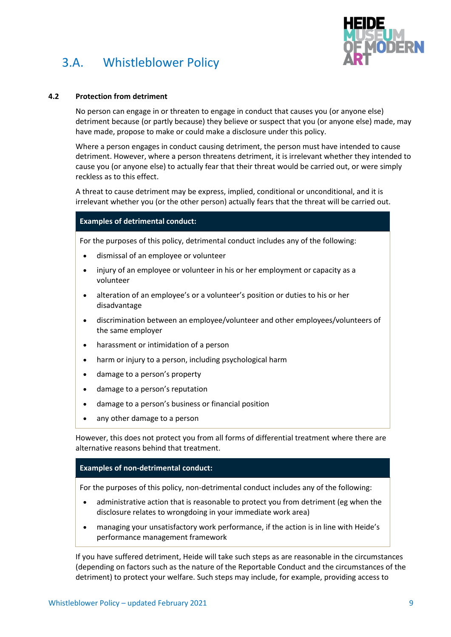

### **4.2 Protection from detriment**

No person can engage in or threaten to engage in conduct that causes you (or anyone else) detriment because (or partly because) they believe or suspect that you (or anyone else) made, may have made, propose to make or could make a disclosure under this policy.

Where a person engages in conduct causing detriment, the person must have intended to cause detriment. However, where a person threatens detriment, it is irrelevant whether they intended to cause you (or anyone else) to actually fear that their threat would be carried out, or were simply reckless as to this effect.

A threat to cause detriment may be express, implied, conditional or unconditional, and it is irrelevant whether you (or the other person) actually fears that the threat will be carried out.

## **Examples of detrimental conduct:**

For the purposes of this policy, detrimental conduct includes any of the following:

- dismissal of an employee or volunteer
- injury of an employee or volunteer in his or her employment or capacity as a volunteer
- alteration of an employee's or a volunteer's position or duties to his or her disadvantage
- discrimination between an employee/volunteer and other employees/volunteers of the same employer
- harassment or intimidation of a person
- harm or injury to a person, including psychological harm
- damage to a person's property
- damage to a person's reputation
- damage to a person's business or financial position
- any other damage to a person

However, this does not protect you from all forms of differential treatment where there are alternative reasons behind that treatment.

#### **Examples of non-detrimental conduct:**

For the purposes of this policy, non-detrimental conduct includes any of the following:

- administrative action that is reasonable to protect you from detriment (eg when the disclosure relates to wrongdoing in your immediate work area)
- managing your unsatisfactory work performance, if the action is in line with Heide's performance management framework

If you have suffered detriment, Heide will take such steps as are reasonable in the circumstances (depending on factors such as the nature of the Reportable Conduct and the circumstances of the detriment) to protect your welfare. Such steps may include, for example, providing access to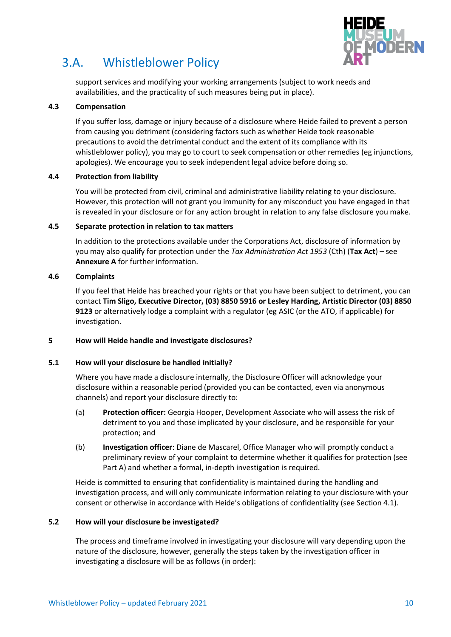

support services and modifying your working arrangements (subject to work needs and availabilities, and the practicality of such measures being put in place).

## **4.3 Compensation**

If you suffer loss, damage or injury because of a disclosure where Heide failed to prevent a person from causing you detriment (considering factors such as whether Heide took reasonable precautions to avoid the detrimental conduct and the extent of its compliance with its whistleblower policy), you may go to court to seek compensation or other remedies (eg injunctions, apologies). We encourage you to seek independent legal advice before doing so.

## **4.4 Protection from liability**

You will be protected from civil, criminal and administrative liability relating to your disclosure. However, this protection will not grant you immunity for any misconduct you have engaged in that is revealed in your disclosure or for any action brought in relation to any false disclosure you make.

## **4.5 Separate protection in relation to tax matters**

In addition to the protections available under the Corporations Act, disclosure of information by you may also qualify for protection under the *Tax Administration Act 1953* (Cth) (**Tax Act**) – see **Annexure A** for further information.

## **4.6 Complaints**

If you feel that Heide has breached your rights or that you have been subject to detriment, you can contact **Tim Sligo, Executive Director, (03) 8850 5916 or Lesley Harding, Artistic Director (03) 8850 9123** or alternatively lodge a complaint with a regulator (eg ASIC (or the ATO, if applicable) for investigation.

## <span id="page-9-0"></span>**5 How will Heide handle and investigate disclosures?**

### **5.1 How will your disclosure be handled initially?**

Where you have made a disclosure internally, the Disclosure Officer will acknowledge your disclosure within a reasonable period (provided you can be contacted, even via anonymous channels) and report your disclosure directly to:

- (a) **Protection officer:** Georgia Hooper, Development Associate who will assess the risk of detriment to you and those implicated by your disclosure, and be responsible for your protection; and
- (b) **Investigation officer**: Diane de Mascarel, Office Manager who will promptly conduct a preliminary review of your complaint to determine whether it qualifies for protection (see Part A) and whether a formal, in-depth investigation is required.

Heide is committed to ensuring that confidentiality is maintained during the handling and investigation process, and will only communicate information relating to your disclosure with your consent or otherwise in accordance with Heide's obligations of confidentiality (see Sectio[n 4.1\)](#page-7-0).

### **5.2 How will your disclosure be investigated?**

The process and timeframe involved in investigating your disclosure will vary depending upon the nature of the disclosure, however, generally the steps taken by the investigation officer in investigating a disclosure will be as follows (in order):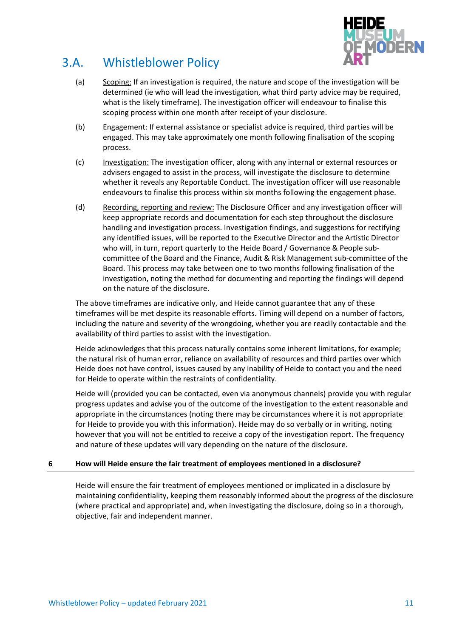

- (a) Scoping: If an investigation is required, the nature and scope of the investigation will be determined (ie who will lead the investigation, what third party advice may be required, what is the likely timeframe). The investigation officer will endeavour to finalise this scoping process within one month after receipt of your disclosure.
- (b) Engagement: If external assistance or specialist advice is required, third parties will be engaged. This may take approximately one month following finalisation of the scoping process.
- (c) Investigation: The investigation officer, along with any internal or external resources or advisers engaged to assist in the process, will investigate the disclosure to determine whether it reveals any Reportable Conduct. The investigation officer will use reasonable endeavours to finalise this process within six months following the engagement phase.
- (d) Recording, reporting and review: The Disclosure Officer and any investigation officer will keep appropriate records and documentation for each step throughout the disclosure handling and investigation process. Investigation findings, and suggestions for rectifying any identified issues, will be reported to the Executive Director and the Artistic Director who will, in turn, report quarterly to the Heide Board / Governance & People subcommittee of the Board and the Finance, Audit & Risk Management sub-committee of the Board. This process may take between one to two months following finalisation of the investigation, noting the method for documenting and reporting the findings will depend on the nature of the disclosure.

The above timeframes are indicative only, and Heide cannot guarantee that any of these timeframes will be met despite its reasonable efforts. Timing will depend on a number of factors, including the nature and severity of the wrongdoing, whether you are readily contactable and the availability of third parties to assist with the investigation.

Heide acknowledges that this process naturally contains some inherent limitations, for example; the natural risk of human error, reliance on availability of resources and third parties over which Heide does not have control, issues caused by any inability of Heide to contact you and the need for Heide to operate within the restraints of confidentiality.

Heide will (provided you can be contacted, even via anonymous channels) provide you with regular progress updates and advise you of the outcome of the investigation to the extent reasonable and appropriate in the circumstances (noting there may be circumstances where it is not appropriate for Heide to provide you with this information). Heide may do so verbally or in writing, noting however that you will not be entitled to receive a copy of the investigation report. The frequency and nature of these updates will vary depending on the nature of the disclosure.

## **6 How will Heide ensure the fair treatment of employees mentioned in a disclosure?**

Heide will ensure the fair treatment of employees mentioned or implicated in a disclosure by maintaining confidentiality, keeping them reasonably informed about the progress of the disclosure (where practical and appropriate) and, when investigating the disclosure, doing so in a thorough, objective, fair and independent manner.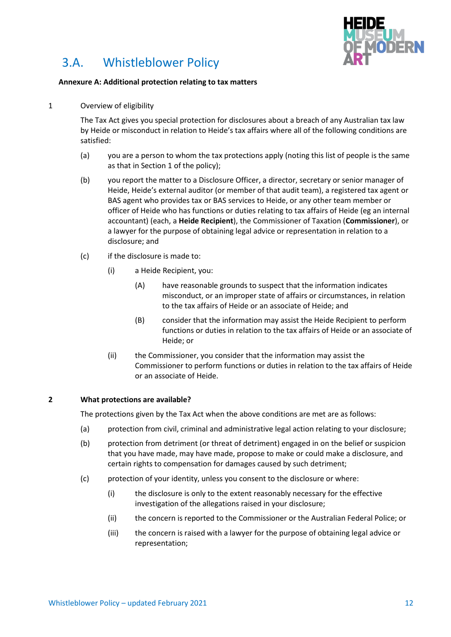

### **Annexure A: Additional protection relating to tax matters**

1 Overview of eligibility

The Tax Act gives you special protection for disclosures about a breach of any Australian tax law by Heide or misconduct in relation to Heide's tax affairs where all of the following conditions are satisfied:

- (a) you are a person to whom the tax protections apply (noting this list of people is the same as that in Sectio[n 1](#page-1-0) of the policy);
- (b) you report the matter to a Disclosure Officer, a director, secretary or senior manager of Heide, Heide's external auditor (or member of that audit team), a registered tax agent or BAS agent who provides tax or BAS services to Heide, or any other team member or officer of Heide who has functions or duties relating to tax affairs of Heide (eg an internal accountant) (each, a **Heide Recipient**), the Commissioner of Taxation (**Commissioner**), or a lawyer for the purpose of obtaining legal advice or representation in relation to a disclosure; and
- (c) if the disclosure is made to:
	- (i) a Heide Recipient, you:
		- (A) have reasonable grounds to suspect that the information indicates misconduct, or an improper state of affairs or circumstances, in relation to the tax affairs of Heide or an associate of Heide; and
		- (B) consider that the information may assist the Heide Recipient to perform functions or duties in relation to the tax affairs of Heide or an associate of Heide; or
	- (ii) the Commissioner, you consider that the information may assist the Commissioner to perform functions or duties in relation to the tax affairs of Heide or an associate of Heide.

### **2 What protections are available?**

The protections given by the Tax Act when the above conditions are met are as follows:

- (a) protection from civil, criminal and administrative legal action relating to your disclosure;
- (b) protection from detriment (or threat of detriment) engaged in on the belief or suspicion that you have made, may have made, propose to make or could make a disclosure, and certain rights to compensation for damages caused by such detriment;
- (c) protection of your identity, unless you consent to the disclosure or where:
	- (i) the disclosure is only to the extent reasonably necessary for the effective investigation of the allegations raised in your disclosure;
	- (ii) the concern is reported to the Commissioner or the Australian Federal Police; or
	- (iii) the concern is raised with a lawyer for the purpose of obtaining legal advice or representation;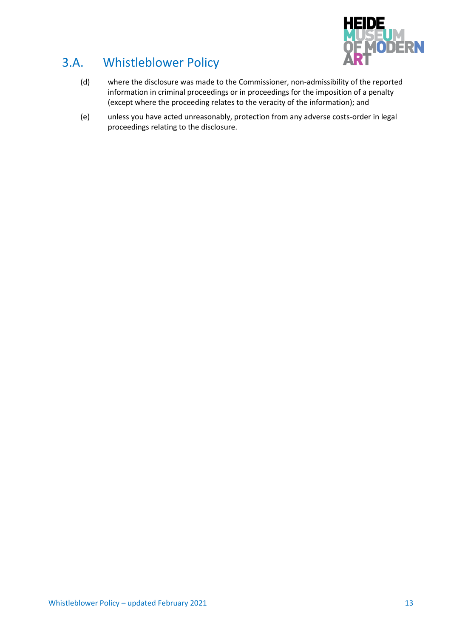

- (d) where the disclosure was made to the Commissioner, non-admissibility of the reported information in criminal proceedings or in proceedings for the imposition of a penalty (except where the proceeding relates to the veracity of the information); and
- (e) unless you have acted unreasonably, protection from any adverse costs-order in legal proceedings relating to the disclosure.